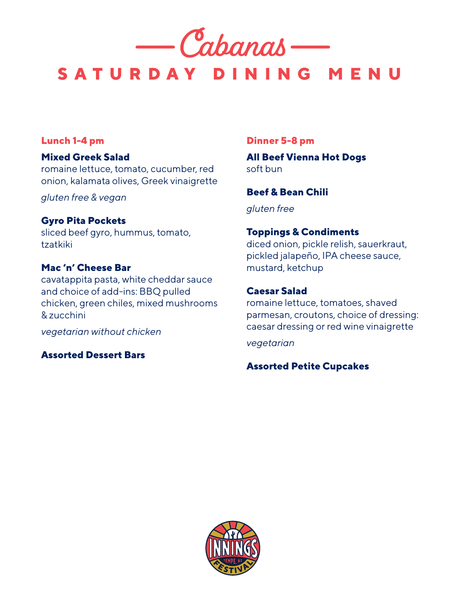

# **SATURDAY DINING MENU**

#### **Lunch 1-4 pm**

# **Mixed Greek Salad**

romaine lettuce, tomato, cucumber, red onion, kalamata olives, Greek vinaigrette

*gluten free & vegan*

#### **Gyro Pita Pockets**

sliced beef gyro, hummus, tomato, tzatkiki

#### **Mac 'n' Cheese Bar**

cavatappita pasta, white cheddar sauce and choice of add-ins: BBQ pulled chicken, green chiles, mixed mushrooms & zucchini

*vegetarian without chicken*

# **Assorted Dessert Bars**

#### **Dinner 5-8 pm**

**All Beef Vienna Hot Dogs** soft bun

**Beef & Bean Chili**

*gluten free*

# **Toppings & Condiments**

diced onion, pickle relish, sauerkraut, pickled jalapeño, IPA cheese sauce, mustard, ketchup

# **Caesar Salad**

romaine lettuce, tomatoes, shaved parmesan, croutons, choice of dressing: caesar dressing or red wine vinaigrette

*vegetarian*

# **Assorted Petite Cupcakes**